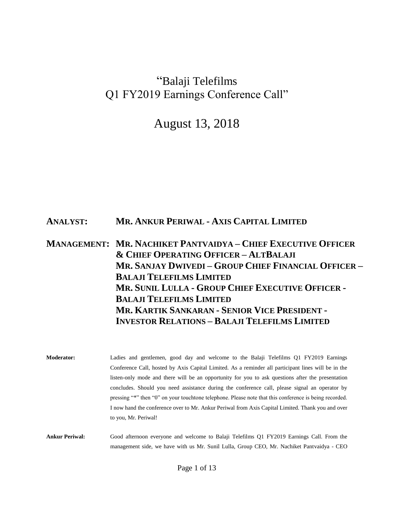# "Balaji Telefilms Q1 FY2019 Earnings Conference Call"

August 13, 2018

### **ANALYST: MR. ANKUR PERIWAL - AXIS CAPITAL LIMITED**

# **MANAGEMENT: MR. NACHIKET PANTVAIDYA – CHIEF EXECUTIVE OFFICER & CHIEF OPERATING OFFICER – ALTBALAJI MR. SANJAY DWIVEDI – GROUP CHIEF FINANCIAL OFFICER – BALAJI TELEFILMS LIMITED MR. SUNIL LULLA - GROUP CHIEF EXECUTIVE OFFICER - BALAJI TELEFILMS LIMITED MR. KARTIK SANKARAN - SENIOR VICE PRESIDENT - INVESTOR RELATIONS – BALAJI TELEFILMS LIMITED**

**Moderator:** Ladies and gentlemen, good day and welcome to the Balaji Telefilms Q1 FY2019 Earnings Conference Call, hosted by Axis Capital Limited. As a reminder all participant lines will be in the listen-only mode and there will be an opportunity for you to ask questions after the presentation concludes. Should you need assistance during the conference call, please signal an operator by pressing "\*" then "0" on your touchtone telephone. Please note that this conference is being recorded. I now hand the conference over to Mr. Ankur Periwal from Axis Capital Limited. Thank you and over to you, Mr. Periwal!

**Ankur Periwal:** Good afternoon everyone and welcome to Balaji Telefilms Q1 FY2019 Earnings Call. From the management side, we have with us Mr. Sunil Lulla, Group CEO, Mr. Nachiket Pantvaidya - CEO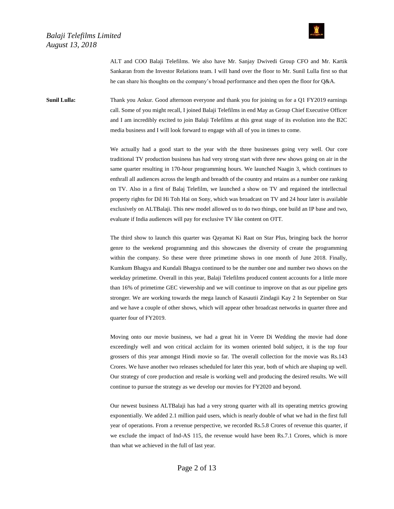

ALT and COO Balaji Telefilms. We also have Mr. Sanjay Dwivedi Group CFO and Mr. Kartik Sankaran from the Investor Relations team. I will hand over the floor to Mr. Sunil Lulla first so that he can share his thoughts on the company's broad performance and then open the floor for Q&A.

**Sunil Lulla:** Thank you Ankur. Good afternoon everyone and thank you for joining us for a Q1 FY2019 earnings call. Some of you might recall, I joined Balaji Telefilms in end May as Group Chief Executive Officer and I am incredibly excited to join Balaji Telefilms at this great stage of its evolution into the B2C media business and I will look forward to engage with all of you in times to come.

> We actually had a good start to the year with the three businesses going very well. Our core traditional TV production business has had very strong start with three new shows going on air in the same quarter resulting in 170-hour programming hours. We launched Naagin 3, which continues to enthrall all audiences across the length and breadth of the country and retains as a number one ranking on TV. Also in a first of Balaj Telefilm, we launched a show on TV and regained the intellectual property rights for Dil Hi Toh Hai on Sony, which was broadcast on TV and 24 hour later is available exclusively on ALTBalaji. This new model allowed us to do two things, one build an IP base and two, evaluate if India audiences will pay for exclusive TV like content on OTT.

> The third show to launch this quarter was Qayamat Ki Raat on Star Plus, bringing back the horror genre to the weekend programming and this showcases the diversity of create the programming within the company. So these were three primetime shows in one month of June 2018. Finally, Kumkum Bhagya and Kundali Bhagya continued to be the number one and number two shows on the weekday primetime. Overall in this year, Balaji Telefilms produced content accounts for a little more than 16% of primetime GEC viewership and we will continue to improve on that as our pipeline gets stronger. We are working towards the mega launch of Kasautii Zindagii Kay 2 In September on Star and we have a couple of other shows, which will appear other broadcast networks in quarter three and quarter four of FY2019.

> Moving onto our movie business, we had a great hit in Veere Di Wedding the movie had done exceedingly well and won critical acclaim for its women oriented bold subject, it is the top four grossers of this year amongst Hindi movie so far. The overall collection for the movie was Rs.143 Crores. We have another two releases scheduled for later this year, both of which are shaping up well. Our strategy of core production and resale is working well and producing the desired results. We will continue to pursue the strategy as we develop our movies for FY2020 and beyond.

> Our newest business ALTBalaji has had a very strong quarter with all its operating metrics growing exponentially. We added 2.1 million paid users, which is nearly double of what we had in the first full year of operations. From a revenue perspective, we recorded Rs.5.8 Crores of revenue this quarter, if we exclude the impact of Ind-AS 115, the revenue would have been Rs.7.1 Crores, which is more than what we achieved in the full of last year.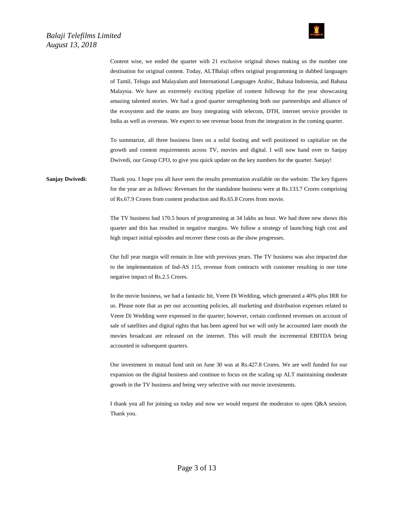



Content wise, we ended the quarter with 21 exclusive original shows making us the number one destination for original content. Today, ALTBalaji offers original programming in dubbed languages of Tamil, Telugu and Malayalam and International Languages Arabic, Bahasa Indonesia, and Bahasa Malaysia. We have an extremely exciting pipeline of content followup for the year showcasing amazing talented stories. We had a good quarter strengthening both our partnerships and alliance of the ecosystem and the teams are busy integrating with telecom, DTH, internet service provider in India as well as overseas. We expect to see revenue boost from the integration in the coming quarter.

To summarize, all three business lines on a solid footing and well positioned to capitalize on the growth and content requirements across TV, movies and digital. I will now hand over to Sanjay Dwivedi, our Group CFO, to give you quick update on the key numbers for the quarter. Sanjay!

**Sanjay Dwivedi:** Thank you. I hope you all have seen the results presentation available on the website. The key figures for the year are as follows: Revenues for the standalone business were at Rs.133.7 Crores comprising of Rs.67.9 Crores from content production and Rs.65.8 Crores from movie.

> The TV business had 170.5 hours of programming at 34 lakhs an hour. We had three new shows this quarter and this has resulted in negative margins. We follow a strategy of launching high cost and high impact initial episodes and recover these costs as the show progresses.

> Our full year margin will remain in line with previous years. The TV business was also impacted due to the implementation of Ind-AS 115, revenue from contracts with customer resulting in one time negative impact of Rs.2.5 Crores.

> In the movie business, we had a fantastic hit, Veere Di Wedding, which generated a 40% plus IRR for us. Please note that as per our accounting policies, all marketing and distribution expenses related to Veere Di Wedding were expensed in the quarter; however, certain confirmed revenues on account of sale of satellites and digital rights that has been agreed but we will only be accounted later month the movies broadcast are released on the internet. This will result the incremental EBITDA being accounted in subsequent quarters.

> Our investment in mutual fund unit on June 30 was at Rs.427.8 Crores. We are well funded for our expansion on the digital business and continue to focus on the scaling up ALT maintaining moderate growth in the TV business and being very selective with our movie investments.

> I thank you all for joining us today and now we would request the moderator to open Q&A session. Thank you.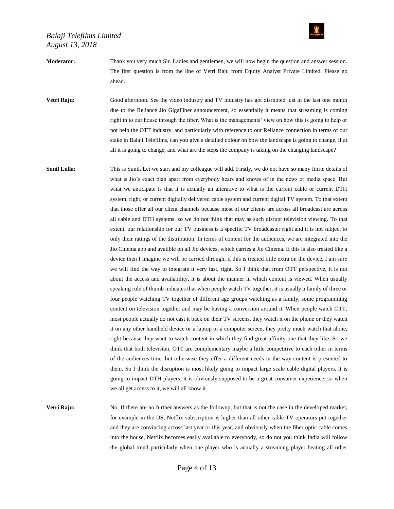

**Moderator:** Thank you very much Sir. Ladies and gentlemen, we will now begin the question and answer session. The first question is from the line of Vetri Raju from Equity Analyst Private Limited. Please go ahead.

**Vetri Raju:** Good afternoon. See the video industry and TV industry has got disrupted just in the last one month due to the Reliance Jio GigaFiber announcement, so essentially it means that streaming is coming right in to our house through the fiber. What is the managements' view on how this is going to help or not help the OTT industry, and particularly with reference to our Reliance connection in terms of our stake in Balaji Telefilms, can you give a detailed colour on how the landscape is going to change, if at all it is going to change, and what are the steps the company is taking on the changing landscape?

**Sunil Lulla:** This is Sunil. Let we start and my colleague will add. Firstly, we do not have so many finite details of what is Jio's exact plan apart from everybody hears and knows of in the news or media space. But what we anticipate is that it is actually an alterative to what is the current cable or current DTH system, right, or current digitally delivered cable system and current digital TV system. To that extent that those offer all our client channels because most of our clients are across all broadcast are across all cable and DTH systems, so we do not think that may as such disrupt television viewing. To that extent, our relationship for our TV business is a specific TV broadcaster right and it is not subject to only their ratings of the distribution. In terms of content for the audiences, we are integrated into the Jio Cinema app and availble on all Jio devices, which carries a Jio Cinema. If this is also treated like a device then I imagine we will be carried through, if this is treated little extra on the device, I am sure we will find the way to integrate it very fast, right. So I think that from OTT perspective, it is not about the access and availability, it is about the manner in which content is viewed. When usually speaking rule of thumb indicates that when people watch TV together, it is usually a family of three or four people watching TV together of different age groups watching as a family, some programming content on television together and may be having a conversion around it. When people watch OTT, most people actually do not cast it back on their TV screens, they watch it on the phone or they watch it on any other handheld device or a laptop or a computer screen, they pretty much watch that alone, right because they want to watch content in which they find great affinity one that they like. So we think that both television, OTT are complementary maybe a little competitive to each other in terms of the audiences time, but otherwise they offer a different needs in the way content is presented to them. So I think the disruption is most likely going to impact large scale cable digital players, it is going to impact DTH players, it is obviously supposed to be a great consumer experience, so when we all get access to it, we will all know it.

**Vetri Raju:** No. If there are no further answers as the followup, but that is not the case in the developed market, for example in the US, Netflix subscription is higher than all other cable TV operators put together and they are convincing across last year or this year, and obviously when the fiber optic cable comes into the house, Netflix becomes easily available to everybody, so do not you think India will follow the global trend particularly when one player who is actually a streaming player beating all other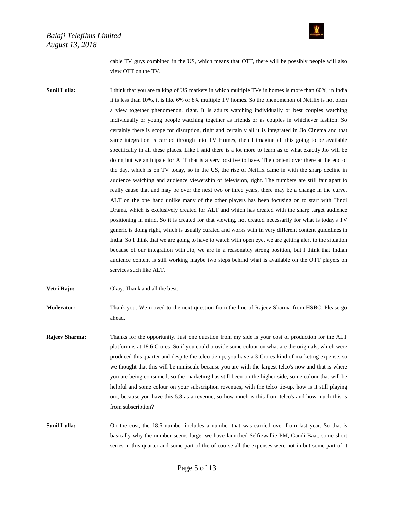

cable TV guys combined in the US, which means that OTT, there will be possibly people will also view OTT on the TV.

**Sunil Lulla:** I think that you are talking of US markets in which multiple TVs in homes is more than 60%, in India it is less than 10%, it is like 6% or 8% multiple TV homes. So the phenomenon of Netflix is not often a view together phenomenon, right. It is adults watching individually or best couples watching individually or young people watching together as friends or as couples in whichever fashion. So certainly there is scope for disruption, right and certainly all it is integrated in Jio Cinema and that same integration is carried through into TV Homes, then I imagine all this going to be available specifically in all these places. Like I said there is a lot more to learn as to what exactly Jio will be doing but we anticipate for ALT that is a very positive to have. The content over there at the end of the day, which is on TV today, so in the US, the rise of Netflix came in with the sharp decline in audience watching and audience viewership of television, right. The numbers are still fair apart to really cause that and may be over the next two or three years, there may be a change in the curve, ALT on the one hand unlike many of the other players has been focusing on to start with Hindi Drama, which is exclusively created for ALT and which has created with the sharp target audience positioning in mind. So it is created for that viewing, not created necessarily for what is today's TV generic is doing right, which is usually curated and works with in very different content guidelines in India. So I think that we are going to have to watch with open eye, we are getting alert to the situation because of our integration with Jio, we are in a reasonably strong position, but I think that Indian audience content is still working maybe two steps behind what is available on the OTT players on services such like ALT.

**Vetri Raju:** Okay. Thank and all the best.

**Moderator:** Thank you. We moved to the next question from the line of Rajeev Sharma from HSBC. Please go ahead.

**Rajeev Sharma:** Thanks for the opportunity. Just one question from my side is your cost of production for the ALT platform is at 18.6 Crores. So if you could provide some colour on what are the originals, which were produced this quarter and despite the telco tie up, you have a 3 Crores kind of marketing expense, so we thought that this will be miniscule because you are with the largest telco's now and that is where you are being consumed, so the marketing has still been on the higher side, some colour that will be helpful and some colour on your subscription revenues, with the telco tie-up, how is it still playing out, because you have this 5.8 as a revenue, so how much is this from telco's and how much this is from subscription?

**Sunil Lulla:** On the cost, the 18.6 number includes a number that was carried over from last year. So that is basically why the number seems large, we have launched Selfiewallie PM, Gandi Baat, some short series in this quarter and some part of the of course all the expenses were not in but some part of it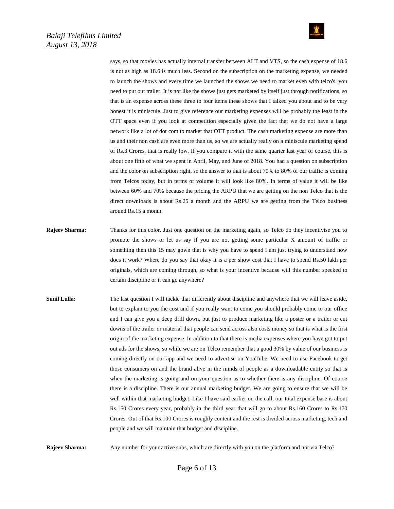

says, so that movies has actually internal transfer between ALT and VTS, so the cash expense of 18.6 is not as high as 18.6 is much less. Second on the subscription on the marketing expense, we needed to launch the shows and every time we launched the shows we need to market even with telco's, you need to put out trailer. It is not like the shows just gets marketed by itself just through notifications, so that is an expense across these three to four items these shows that I talked you about and to be very honest it is miniscule. Just to give reference our marketing expenses will be probably the least in the OTT space even if you look at competition especially given the fact that we do not have a large network like a lot of dot com to market that OTT product. The cash marketing expense are more than us and their non cash are even more than us, so we are actually really on a miniscule marketing spend of Rs.3 Crores, that is really low. If you compare it with the same quarter last year of course, this is about one fifth of what we spent in April, May, and June of 2018. You had a question on subscription and the color on subscription right, so the answer to that is about 70% to 80% of our traffic is coming from Telcos today, but in terms of volume it will look like 80%. In terms of value it will be like between 60% and 70% because the pricing the ARPU that we are getting on the non Telco that is the direct downloads is about Rs.25 a month and the ARPU we are getting from the Telco business around Rs.15 a month.

- **Rajeev Sharma:** Thanks for this color. Just one question on the marketing again, so Telco do they incentivise you to promote the shows or let us say if you are not getting some particular X amount of traffic or something then this 15 may gown that is why you have to spend I am just trying to understand how does it work? Where do you say that okay it is a per show cost that I have to spend Rs.50 lakh per originals, which are coming through, so what is your incentive because will this number specked to certain discipline or it can go anywhere?
- **Sunil Lulla:** The last question I will tackle that differently about discipline and anywhere that we will leave aside, but to explain to you the cost and if you really want to come you should probably come to our office and I can give you a deep drill down, but just to produce marketing like a poster or a trailer or cut downs of the trailer or material that people can send across also costs money so that is what is the first origin of the marketing expense. In addition to that there is media expenses where you have got to put out ads for the shows, so while we are on Telco remember that a good 30% by value of our business is coming directly on our app and we need to advertise on YouTube. We need to use Facebook to get those consumers on and the brand alive in the minds of people as a downloadable entity so that is when the marketing is going and on your question as to whether there is any discipline. Of course there is a discipline. There is our annual marketing budget. We are going to ensure that we will be well within that marketing budget. Like I have said earlier on the call, our total expense base is about Rs.150 Crores every year, probably in the third year that will go to about Rs.160 Crores to Rs.170 Crores. Out of that Rs.100 Crores is roughly content and the rest is divided across marketing, tech and people and we will maintain that budget and discipline.

**Rajeev Sharma:** Any number for your active subs, which are directly with you on the platform and not via Telco?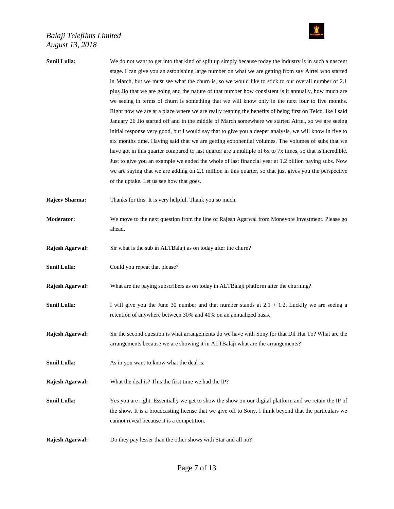

| Sunil Lulla:          | We do not want to get into that kind of split up simply because today the industry is in such a nascent<br>stage. I can give you an astonishing large number on what we are getting from say Airtel who started<br>in March, but we must see what the churn is, so we would like to stick to our overall number of 2.1<br>plus Jio that we are going and the nature of that number how consistent is it annually, how much are<br>we seeing in terms of churn is something that we will know only in the next four to five months.<br>Right now we are at a place where we are really reaping the benefits of being first on Telco like I said<br>January 26 Jio started off and in the middle of March somewhere we started Airtel, so we are seeing<br>initial response very good, but I would say that to give you a deeper analysis, we will know in five to<br>six months time. Having said that we are getting exponential volumes. The volumes of subs that we<br>have got in this quarter compared to last quarter are a multiple of 6x to 7x times, so that is incredible.<br>Just to give you an example we ended the whole of last financial year at 1.2 billion paying subs. Now |
|-----------------------|----------------------------------------------------------------------------------------------------------------------------------------------------------------------------------------------------------------------------------------------------------------------------------------------------------------------------------------------------------------------------------------------------------------------------------------------------------------------------------------------------------------------------------------------------------------------------------------------------------------------------------------------------------------------------------------------------------------------------------------------------------------------------------------------------------------------------------------------------------------------------------------------------------------------------------------------------------------------------------------------------------------------------------------------------------------------------------------------------------------------------------------------------------------------------------------------|
|                       | we are saying that we are adding on 2.1 million in this quarter, so that just gives you the perspective<br>of the uptake. Let us see how that goes.                                                                                                                                                                                                                                                                                                                                                                                                                                                                                                                                                                                                                                                                                                                                                                                                                                                                                                                                                                                                                                          |
| <b>Rajeev Sharma:</b> | Thanks for this. It is very helpful. Thank you so much.                                                                                                                                                                                                                                                                                                                                                                                                                                                                                                                                                                                                                                                                                                                                                                                                                                                                                                                                                                                                                                                                                                                                      |
| Moderator:            | We move to the next question from the line of Rajesh Agarwal from Moneyore Investment. Please go<br>ahead.                                                                                                                                                                                                                                                                                                                                                                                                                                                                                                                                                                                                                                                                                                                                                                                                                                                                                                                                                                                                                                                                                   |
| Rajesh Agarwal:       | Sir what is the sub in ALTBalaji as on today after the churn?                                                                                                                                                                                                                                                                                                                                                                                                                                                                                                                                                                                                                                                                                                                                                                                                                                                                                                                                                                                                                                                                                                                                |
| Sunil Lulla:          | Could you repeat that please?                                                                                                                                                                                                                                                                                                                                                                                                                                                                                                                                                                                                                                                                                                                                                                                                                                                                                                                                                                                                                                                                                                                                                                |
| Rajesh Agarwal:       | What are the paying subscribers as on today in ALTBalaji platform after the churning?                                                                                                                                                                                                                                                                                                                                                                                                                                                                                                                                                                                                                                                                                                                                                                                                                                                                                                                                                                                                                                                                                                        |
| Sunil Lulla:          | I will give you the June 30 number and that number stands at $2.1 + 1.2$ . Luckily we are seeing a<br>retention of anywhere between 30% and 40% on an annualized basis.                                                                                                                                                                                                                                                                                                                                                                                                                                                                                                                                                                                                                                                                                                                                                                                                                                                                                                                                                                                                                      |
| Rajesh Agarwal:       | Sir the second question is what arrangements do we have with Sony for that Dil Hai To? What are the<br>arrangements because we are showing it in ALTBalaji what are the arrangements?                                                                                                                                                                                                                                                                                                                                                                                                                                                                                                                                                                                                                                                                                                                                                                                                                                                                                                                                                                                                        |
| <b>Sunil Lulla:</b>   | As in you want to know what the deal is.                                                                                                                                                                                                                                                                                                                                                                                                                                                                                                                                                                                                                                                                                                                                                                                                                                                                                                                                                                                                                                                                                                                                                     |
| Rajesh Agarwal:       | What the deal is? This the first time we had the IP?                                                                                                                                                                                                                                                                                                                                                                                                                                                                                                                                                                                                                                                                                                                                                                                                                                                                                                                                                                                                                                                                                                                                         |
| <b>Sunil Lulla:</b>   | Yes you are right. Essentially we get to show the show on our digital platform and we retain the IP of<br>the show. It is a broadcasting license that we give off to Sony. I think beyond that the particulars we<br>cannot reveal because it is a competition.                                                                                                                                                                                                                                                                                                                                                                                                                                                                                                                                                                                                                                                                                                                                                                                                                                                                                                                              |
| Rajesh Agarwal:       | Do they pay lesser than the other shows with Star and all no?                                                                                                                                                                                                                                                                                                                                                                                                                                                                                                                                                                                                                                                                                                                                                                                                                                                                                                                                                                                                                                                                                                                                |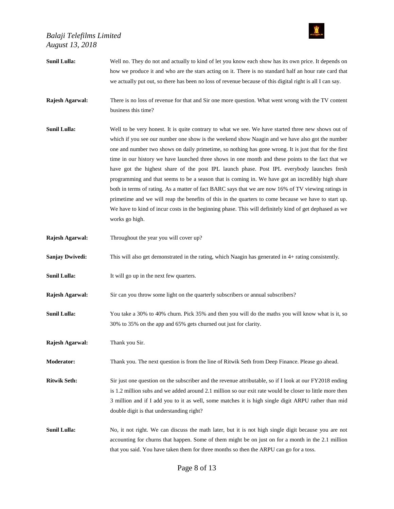

| <b>Sunil Lulla:</b>    | Well no. They do not and actually to kind of let you know each show has its own price. It depends on<br>how we produce it and who are the stars acting on it. There is no standard half an hour rate card that<br>we actually put out, so there has been no loss of revenue because of this digital right is all I can say.                                                                                                                                                                                                                                                                                                                                                                                                                                                                                                                                                                                                                                         |
|------------------------|---------------------------------------------------------------------------------------------------------------------------------------------------------------------------------------------------------------------------------------------------------------------------------------------------------------------------------------------------------------------------------------------------------------------------------------------------------------------------------------------------------------------------------------------------------------------------------------------------------------------------------------------------------------------------------------------------------------------------------------------------------------------------------------------------------------------------------------------------------------------------------------------------------------------------------------------------------------------|
| Rajesh Agarwal:        | There is no loss of revenue for that and Sir one more question. What went wrong with the TV content<br>business this time?                                                                                                                                                                                                                                                                                                                                                                                                                                                                                                                                                                                                                                                                                                                                                                                                                                          |
| <b>Sunil Lulla:</b>    | Well to be very honest. It is quite contrary to what we see. We have started three new shows out of<br>which if you see our number one show is the weekend show Naagin and we have also got the number<br>one and number two shows on daily primetime, so nothing has gone wrong. It is just that for the first<br>time in our history we have launched three shows in one month and these points to the fact that we<br>have got the highest share of the post IPL launch phase. Post IPL everybody launches fresh<br>programming and that seems to be a season that is coming in. We have got an incredibly high share<br>both in terms of rating. As a matter of fact BARC says that we are now 16% of TV viewing ratings in<br>primetime and we will reap the benefits of this in the quarters to come because we have to start up.<br>We have to kind of incur costs in the beginning phase. This will definitely kind of get dephased as we<br>works go high. |
| Rajesh Agarwal:        | Throughout the year you will cover up?                                                                                                                                                                                                                                                                                                                                                                                                                                                                                                                                                                                                                                                                                                                                                                                                                                                                                                                              |
| <b>Sanjay Dwivedi:</b> | This will also get demonstrated in the rating, which Naagin has generated in 4+ rating consistently.                                                                                                                                                                                                                                                                                                                                                                                                                                                                                                                                                                                                                                                                                                                                                                                                                                                                |
| <b>Sunil Lulla:</b>    | It will go up in the next few quarters.                                                                                                                                                                                                                                                                                                                                                                                                                                                                                                                                                                                                                                                                                                                                                                                                                                                                                                                             |
| Rajesh Agarwal:        | Sir can you throw some light on the quarterly subscribers or annual subscribers?                                                                                                                                                                                                                                                                                                                                                                                                                                                                                                                                                                                                                                                                                                                                                                                                                                                                                    |
| <b>Sunil Lulla:</b>    | You take a 30% to 40% churn. Pick 35% and then you will do the maths you will know what is it, so<br>30% to 35% on the app and 65% gets churned out just for clarity.                                                                                                                                                                                                                                                                                                                                                                                                                                                                                                                                                                                                                                                                                                                                                                                               |
| Rajesh Agarwal:        | Thank you Sir.                                                                                                                                                                                                                                                                                                                                                                                                                                                                                                                                                                                                                                                                                                                                                                                                                                                                                                                                                      |
| <b>Moderator:</b>      | Thank you. The next question is from the line of Ritwik Seth from Deep Finance. Please go ahead.                                                                                                                                                                                                                                                                                                                                                                                                                                                                                                                                                                                                                                                                                                                                                                                                                                                                    |
| <b>Ritwik Seth:</b>    | Sir just one question on the subscriber and the revenue attributable, so if I look at our FY2018 ending<br>is 1.2 million subs and we added around 2.1 million so our exit rate would be closer to little more then<br>3 million and if I add you to it as well, some matches it is high single digit ARPU rather than mid<br>double digit is that understanding right?                                                                                                                                                                                                                                                                                                                                                                                                                                                                                                                                                                                             |
| <b>Sunil Lulla:</b>    | No, it not right. We can discuss the math later, but it is not high single digit because you are not<br>accounting for churns that happen. Some of them might be on just on for a month in the 2.1 million<br>that you said. You have taken them for three months so then the ARPU can go for a toss.                                                                                                                                                                                                                                                                                                                                                                                                                                                                                                                                                                                                                                                               |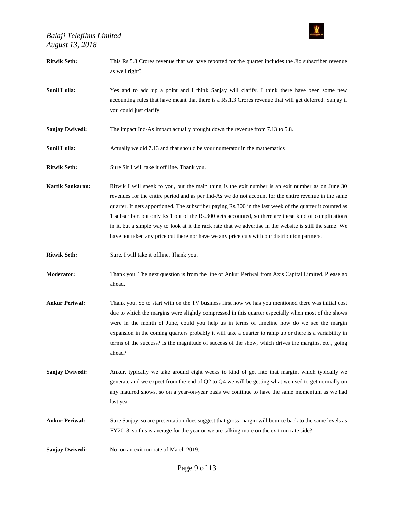

| <b>Ritwik Seth:</b>    | This Rs.5.8 Crores revenue that we have reported for the quarter includes the Jio subscriber revenue<br>as well right?                                                                                                                                                                                                                                                                                                                                                                                                                                                                                                                          |
|------------------------|-------------------------------------------------------------------------------------------------------------------------------------------------------------------------------------------------------------------------------------------------------------------------------------------------------------------------------------------------------------------------------------------------------------------------------------------------------------------------------------------------------------------------------------------------------------------------------------------------------------------------------------------------|
| <b>Sunil Lulla:</b>    | Yes and to add up a point and I think Sanjay will clarify. I think there have been some new<br>accounting rules that have meant that there is a Rs.1.3 Crores revenue that will get deferred. Sanjay if<br>you could just clarify.                                                                                                                                                                                                                                                                                                                                                                                                              |
| <b>Sanjay Dwivedi:</b> | The impact Ind-As impact actually brought down the revenue from 7.13 to 5.8.                                                                                                                                                                                                                                                                                                                                                                                                                                                                                                                                                                    |
| <b>Sunil Lulla:</b>    | Actually we did 7.13 and that should be your numerator in the mathematics                                                                                                                                                                                                                                                                                                                                                                                                                                                                                                                                                                       |
| <b>Ritwik Seth:</b>    | Sure Sir I will take it off line. Thank you.                                                                                                                                                                                                                                                                                                                                                                                                                                                                                                                                                                                                    |
| Kartik Sankaran:       | Ritwik I will speak to you, but the main thing is the exit number is an exit number as on June 30<br>revenues for the entire period and as per Ind-As we do not account for the entire revenue in the same<br>quarter. It gets apportioned. The subscriber paying Rs.300 in the last week of the quarter it counted as<br>1 subscriber, but only Rs.1 out of the Rs.300 gets accounted, so there are these kind of complications<br>in it, but a simple way to look at it the rack rate that we advertise in the website is still the same. We<br>have not taken any price cut there nor have we any price cuts with our distribution partners. |
| <b>Ritwik Seth:</b>    | Sure. I will take it offline. Thank you.                                                                                                                                                                                                                                                                                                                                                                                                                                                                                                                                                                                                        |
| <b>Moderator:</b>      | Thank you. The next question is from the line of Ankur Periwal from Axis Capital Limited. Please go<br>ahead.                                                                                                                                                                                                                                                                                                                                                                                                                                                                                                                                   |
| <b>Ankur Periwal:</b>  | Thank you. So to start with on the TV business first now we has you mentioned there was initial cost<br>due to which the margins were slightly compressed in this quarter especially when most of the shows<br>were in the month of June, could you help us in terms of timeline how do we see the margin<br>expansion in the coming quarters probably it will take a quarter to ramp up or there is a variability in<br>terms of the success? Is the magnitude of success of the show, which drives the margins, etc., going<br>ahead?                                                                                                         |
| <b>Sanjay Dwivedi:</b> | Ankur, typically we take around eight weeks to kind of get into that margin, which typically we<br>generate and we expect from the end of Q2 to Q4 we will be getting what we used to get normally on<br>any matured shows, so on a year-on-year basis we continue to have the same momentum as we had<br>last year.                                                                                                                                                                                                                                                                                                                            |
| <b>Ankur Periwal:</b>  | Sure Sanjay, so are presentation does suggest that gross margin will bounce back to the same levels as<br>FY2018, so this is average for the year or we are talking more on the exit run rate side?                                                                                                                                                                                                                                                                                                                                                                                                                                             |
| <b>Sanjay Dwivedi:</b> | No, on an exit run rate of March 2019.                                                                                                                                                                                                                                                                                                                                                                                                                                                                                                                                                                                                          |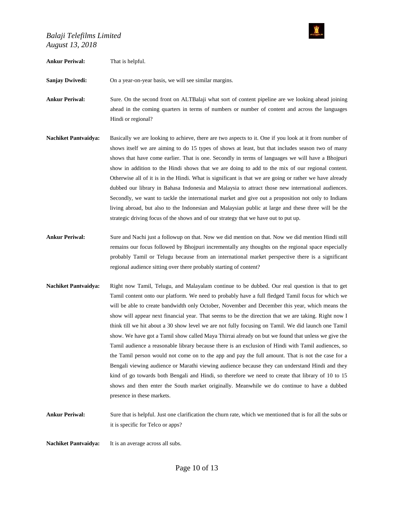

#### **Ankur Periwal:** That is helpful.

Sanjay Dwivedi: On a year-on-year basis, we will see similar margins.

- **Ankur Periwal:** Sure. On the second front on ALTBalaji what sort of content pipeline are we looking ahead joining ahead in the coming quarters in terms of numbers or number of content and across the languages Hindi or regional?
- **Nachiket Pantvaidya:** Basically we are looking to achieve, there are two aspects to it. One if you look at it from number of shows itself we are aiming to do 15 types of shows at least, but that includes season two of many shows that have come earlier. That is one. Secondly in terms of languages we will have a Bhojpuri show in addition to the Hindi shows that we are doing to add to the mix of our regional content. Otherwise all of it is in the Hindi. What is significant is that we are going or rather we have already dubbed our library in Bahasa Indonesia and Malaysia to attract those new international audiences. Secondly, we want to tackle the international market and give out a proposition not only to Indians living abroad, but also to the Indonesian and Malaysian public at large and these three will be the strategic driving focus of the shows and of our strategy that we have out to put up.
- **Ankur Periwal:** Sure and Nachi just a followup on that. Now we did mention on that. Now we did mention Hindi still remains our focus followed by Bhojpuri incrementally any thoughts on the regional space especially probably Tamil or Telugu because from an international market perspective there is a significant regional audience sitting over there probably starting of content?
- **Nachiket Pantvaidya:** Right now Tamil, Telugu, and Malayalam continue to be dubbed. Our real question is that to get Tamil content onto our platform. We need to probably have a full fledged Tamil focus for which we will be able to create bandwidth only October, November and December this year, which means the show will appear next financial year. That seems to be the direction that we are taking. Right now I think till we hit about a 30 show level we are not fully focusing on Tamil. We did launch one Tamil show. We have got a Tamil show called Maya Thirrai already on but we found that unless we give the Tamil audience a reasonable library because there is an exclusion of Hindi with Tamil audiences, so the Tamil person would not come on to the app and pay the full amount. That is not the case for a Bengali viewing audience or Marathi viewing audience because they can understand Hindi and they kind of go towards both Bengali and Hindi, so therefore we need to create that library of 10 to 15 shows and then enter the South market originally. Meanwhile we do continue to have a dubbed presence in these markets.
- **Ankur Periwal:** Sure that is helpful. Just one clarification the churn rate, which we mentioned that is for all the subs or it is specific for Telco or apps?

**Nachiket Pantvaidya:** It is an average across all subs.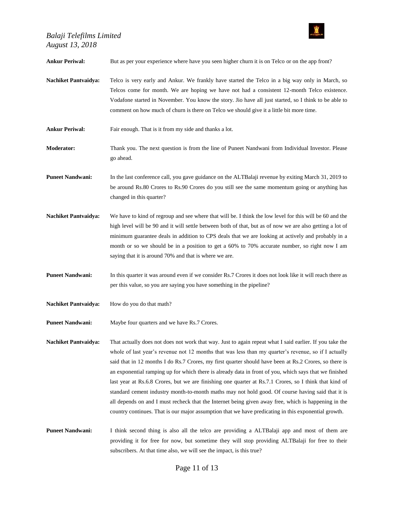**Ankur Periwal:** But as per your experience where have you seen higher churn it is on Telco or on the app front? **Nachiket Pantvaidya:** Telco is very early and Ankur. We frankly have started the Telco in a big way only in March, so Telcos come for month. We are hoping we have not had a consistent 12-month Telco existence. Vodafone started in November. You know the story. Jio have all just started, so I think to be able to comment on how much of churn is there on Telco we should give it a little bit more time. **Ankur Periwal:** Fair enough. That is it from my side and thanks a lot. **Moderator:** Thank you. The next question is from the line of Puneet Nandwani from Individual Investor. Please go ahead. **Puneet Nandwani:** In the last conference call, you gave guidance on the ALTBalaji revenue by exiting March 31, 2019 to be around Rs.80 Crores to Rs.90 Crores do you still see the same momentum going or anything has changed in this quarter? **Nachiket Pantvaidya:** We have to kind of regroup and see where that will be. I think the low level for this will be 60 and the high level will be 90 and it will settle between both of that, but as of now we are also getting a lot of minimum guarantee deals in addition to CPS deals that we are looking at actively and probably in a month or so we should be in a position to get a 60% to 70% accurate number, so right now I am saying that it is around 70% and that is where we are. **Puneet Nandwani:** In this quarter it was around even if we consider Rs.7 Crores it does not look like it will reach there as per this value, so you are saying you have something in the pipeline? Nachiket Pantvaidya: How do you do that math? Puneet Nandwani: Maybe four quarters and we have Rs.7 Crores. **Nachiket Pantvaidya:** That actually does not does not work that way. Just to again repeat what I said earlier. If you take the whole of last year's revenue not 12 months that was less than my quarter's revenue, so if I actually said that in 12 months I do Rs.7 Crores, my first quarter should have been at Rs.2 Crores, so there is an exponential ramping up for which there is already data in front of you, which says that we finished last year at Rs.6.8 Crores, but we are finishing one quarter at Rs.7.1 Crores, so I think that kind of standard cement industry month-to-month maths may not hold good. Of course having said that it is all depends on and I must recheck that the Internet being given away free, which is happening in the country continues. That is our major assumption that we have predicating in this exponential growth. **Puneet Nandwani:** I think second thing is also all the telco are providing a ALTBalaji app and most of them are providing it for free for now, but sometime they will stop providing ALTBalaji for free to their subscribers. At that time also, we will see the impact, is this true?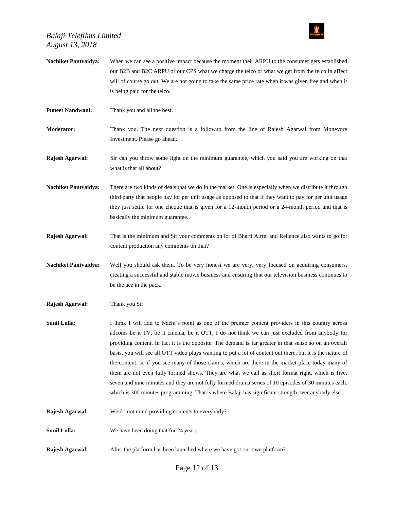

| <b>Nachiket Pantvaidya:</b> | When we can see a positive impact because the moment their ARPU to the consumer gets established<br>our B2B and B2C ARPU or our CPS what we charge the telco or what we get from the telco in affect<br>will of course go out. We are not going to take the same price rate when it was given free and when it<br>is being paid for the telco.                                                                                                                                                                                                                                                                                                                                                                                                                                                                                                         |
|-----------------------------|--------------------------------------------------------------------------------------------------------------------------------------------------------------------------------------------------------------------------------------------------------------------------------------------------------------------------------------------------------------------------------------------------------------------------------------------------------------------------------------------------------------------------------------------------------------------------------------------------------------------------------------------------------------------------------------------------------------------------------------------------------------------------------------------------------------------------------------------------------|
| <b>Puneet Nandwani:</b>     | Thank you and all the best.                                                                                                                                                                                                                                                                                                                                                                                                                                                                                                                                                                                                                                                                                                                                                                                                                            |
| <b>Moderator:</b>           | Thank you. The next question is a followup from the line of Rajesh Agarwal from Moneyore<br>Investment. Please go ahead.                                                                                                                                                                                                                                                                                                                                                                                                                                                                                                                                                                                                                                                                                                                               |
| Rajesh Agarwal:             | Sir can you throw some light on the minimum guarantee, which you said you are working on that<br>what is that all about?                                                                                                                                                                                                                                                                                                                                                                                                                                                                                                                                                                                                                                                                                                                               |
| <b>Nachiket Pantvaidya:</b> | There are two kinds of deals that we do in the market. One is especially when we distribute it through<br>third party that people pay for per unit usage as opposed to that if they want to pay for per unit usage<br>they just settle for one cheque that is given for a 12-month period or a 24-month period and that is<br>basically the minimum guarantee.                                                                                                                                                                                                                                                                                                                                                                                                                                                                                         |
| Rajesh Agarwal:             | That is the minimum and Sir your comments on lot of Bharti Airtel and Reliance also wants to go for<br>content production any comments on that?                                                                                                                                                                                                                                                                                                                                                                                                                                                                                                                                                                                                                                                                                                        |
| <b>Nachiket Pantvaidya:</b> | Well you should ask them. To be very honest we are very, very focused on acquiring consumers,<br>creating a successful and stable movie business and ensuring that our television business continues to<br>be the ace in the pack.                                                                                                                                                                                                                                                                                                                                                                                                                                                                                                                                                                                                                     |
| Rajesh Agarwal:             | Thank you Sir.                                                                                                                                                                                                                                                                                                                                                                                                                                                                                                                                                                                                                                                                                                                                                                                                                                         |
| <b>Sunil Lulla:</b>         | I think I will add to Nachi's point as one of the premier content providers in this country across<br>adcoms be it TV, be it cinema, be it OTT, I do not think we can just excluded from anybody for<br>providing content. In fact it is the opposite. The demand is far greater in that sense so on an overall<br>basis, you will see all OTT video plays wanting to put a lot of content out there, but it is the nature of<br>the content, so if you see many of those claims, which are there in the market place today many of<br>them are not even fully formed shows. They are what we call as short format right, which is five,<br>seven and nine minutes and they are not fully formed drama series of 10 episodes of 30 minutes each,<br>which is 300 minutes programming. That is where Balaji has significant strength over anybody else. |
| Rajesh Agarwal:             | We do not mind providing contents to everybody?                                                                                                                                                                                                                                                                                                                                                                                                                                                                                                                                                                                                                                                                                                                                                                                                        |
| <b>Sunil Lulla:</b>         | We have been doing that for 24 years.                                                                                                                                                                                                                                                                                                                                                                                                                                                                                                                                                                                                                                                                                                                                                                                                                  |
| Rajesh Agarwal:             | After the platform has been launched where we have got our own platform?                                                                                                                                                                                                                                                                                                                                                                                                                                                                                                                                                                                                                                                                                                                                                                               |

Page 12 of 13